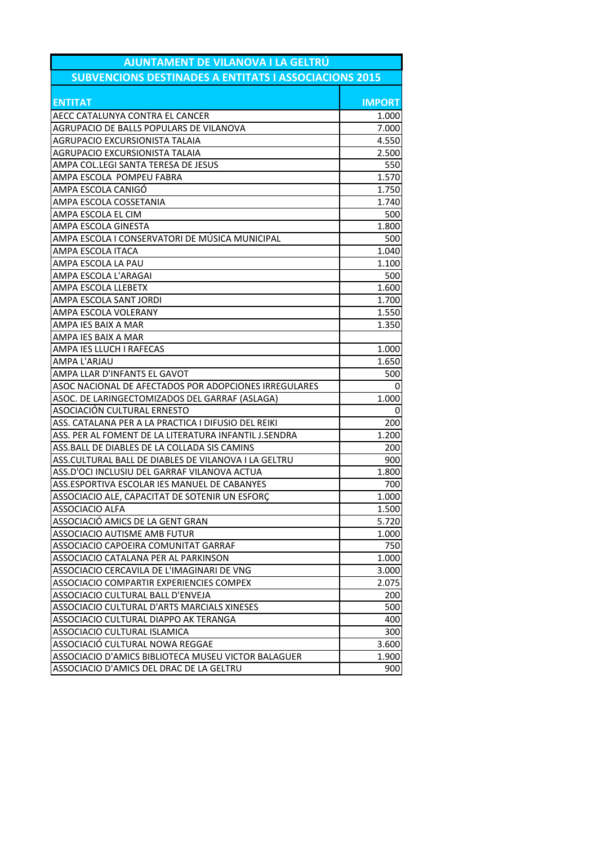| AJUNTAMENT DE VILANOVA I LA GELTRÚ<br><b>SUBVENCIONS DESTINADES A ENTITATS I ASSOCIACIONS 2015</b> |               |  |
|----------------------------------------------------------------------------------------------------|---------------|--|
|                                                                                                    |               |  |
| <b>ENTITAT</b>                                                                                     | <b>IMPORT</b> |  |
| AECC CATALUNYA CONTRA EL CANCER                                                                    | 1.000         |  |
| AGRUPACIO DE BALLS POPULARS DE VILANOVA                                                            | 7.000         |  |
| AGRUPACIO EXCURSIONISTA TALAIA                                                                     | 4.550         |  |
| AGRUPACIO EXCURSIONISTA TALAIA                                                                     | 2.500         |  |
| AMPA COL.LEGI SANTA TERESA DE JESUS                                                                | 550           |  |
| AMPA ESCOLA POMPEU FABRA                                                                           | 1.570         |  |
| AMPA ESCOLA CANIGÓ                                                                                 | 1.750         |  |
| AMPA ESCOLA COSSETANIA                                                                             | 1.740         |  |
| AMPA ESCOLA EL CIM                                                                                 | 500           |  |
| AMPA ESCOLA GINESTA                                                                                | 1.800         |  |
| AMPA ESCOLA I CONSERVATORI DE MÚSICA MUNICIPAL                                                     | 500           |  |
| AMPA ESCOLA ITACA                                                                                  | 1.040         |  |
| AMPA ESCOLA LA PAU                                                                                 | 1.100         |  |
| AMPA ESCOLA L'ARAGAI                                                                               | 500           |  |
| AMPA ESCOLA LLEBETX                                                                                | 1.600         |  |
| AMPA ESCOLA SANT JORDI                                                                             | 1.700         |  |
| AMPA ESCOLA VOLERANY                                                                               | 1.550         |  |
| AMPA IES BAIX A MAR                                                                                | 1.350         |  |
| AMPA IES BAIX A MAR                                                                                |               |  |
| AMPA IES LLUCH I RAFECAS                                                                           | 1.000         |  |
| AMPA L'ARJAU                                                                                       | 1.650         |  |
| AMPA LLAR D'INFANTS EL GAVOT                                                                       | 500           |  |
| ASOC NACIONAL DE AFECTADOS POR ADOPCIONES IRREGULARES                                              | 0             |  |
| ASOC. DE LARINGECTOMIZADOS DEL GARRAF (ASLAGA)                                                     | 1.000         |  |
| ASOCIACIÓN CULTURAL ERNESTO                                                                        | 0             |  |
| ASS. CATALANA PER A LA PRACTICA I DIFUSIO DEL REIKI                                                | 200           |  |
| ASS. PER AL FOMENT DE LA LITERATURA INFANTIL J.SENDRA                                              | 1.200         |  |
| ASS. BALL DE DIABLES DE LA COLLADA SIS CAMINS                                                      | 200           |  |
| ASS.CULTURAL BALL DE DIABLES DE VILANOVA I LA GELTRU                                               | 900           |  |
| ASS.D'OCI INCLUSIU DEL GARRAF VILANOVA ACTUA                                                       | 1.800         |  |
| ASS.ESPORTIVA ESCOLAR IES MANUEL DE CABANYES                                                       | 700           |  |
| ASSOCIACIO ALE, CAPACITAT DE SOTENIR UN ESFORÇ                                                     | 1.000         |  |
| <b>ASSOCIACIO ALFA</b>                                                                             | 1.500         |  |
| ASSOCIACIÓ AMICS DE LA GENT GRAN                                                                   | 5.720         |  |
| ASSOCIACIO AUTISME AMB FUTUR                                                                       | 1.000         |  |
| ASSOCIACIO CAPOEIRA COMUNITAT GARRAF                                                               | 750           |  |
| ASSOCIACIO CATALANA PER AL PARKINSON                                                               | 1.000         |  |
| ASSOCIACIO CERCAVILA DE L'IMAGINARI DE VNG                                                         | 3.000         |  |
| ASSOCIACIO COMPARTIR EXPERIENCIES COMPEX                                                           | 2.075         |  |
| ASSOCIACIO CULTURAL BALL D'ENVEJA                                                                  | 200           |  |
| ASSOCIACIO CULTURAL D'ARTS MARCIALS XINESES                                                        | 500           |  |
| ASSOCIACIO CULTURAL DIAPPO AK TERANGA                                                              | 400           |  |
| ASSOCIACIO CULTURAL ISLAMICA                                                                       | 300           |  |
| ASSOCIACIÓ CULTURAL NOWA REGGAE                                                                    | 3.600         |  |
| ASSOCIACIO D'AMICS BIBLIOTECA MUSEU VICTOR BALAGUER                                                | 1.900         |  |
| ASSOCIACIO D'AMICS DEL DRAC DE LA GELTRU                                                           | 900           |  |
|                                                                                                    |               |  |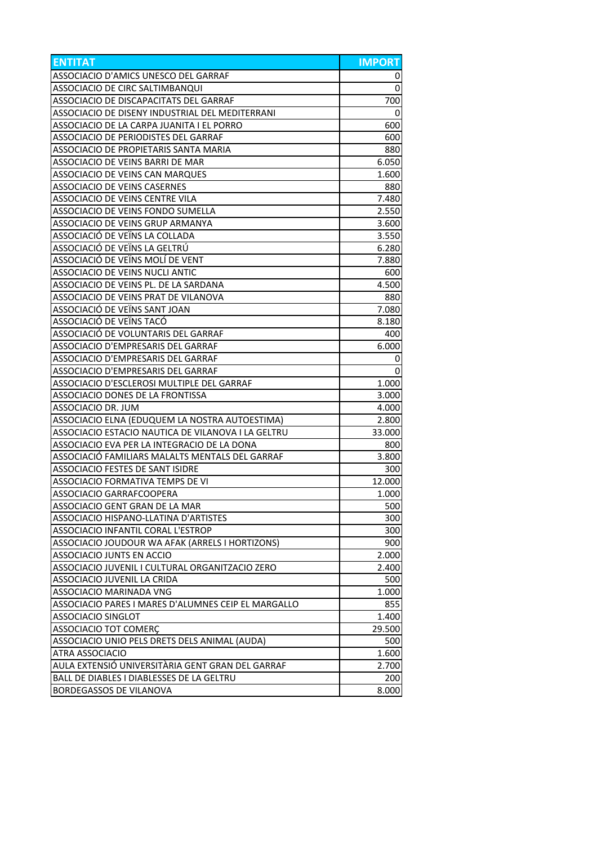| <b>ENTITAT</b>                                      | <b>IMPORT</b> |
|-----------------------------------------------------|---------------|
| ASSOCIACIO D'AMICS UNESCO DEL GARRAF                | 0             |
| ASSOCIACIO DE CIRC SALTIMBANQUI                     | $\mathbf 0$   |
| ASSOCIACIO DE DISCAPACITATS DEL GARRAF              | 700           |
| ASSOCIACIO DE DISENY INDUSTRIAL DEL MEDITERRANI     | 0             |
| ASSOCIACIO DE LA CARPA JUANITA I EL PORRO           | 600           |
| <b>ASSOCIACIO DE PERIODISTES DEL GARRAF</b>         | 600           |
| ASSOCIACIO DE PROPIETARIS SANTA MARIA               | 880           |
| ASSOCIACIO DE VEINS BARRI DE MAR                    | 6.050         |
| ASSOCIACIO DE VEINS CAN MARQUES                     | 1.600         |
| <b>ASSOCIACIO DE VEINS CASERNES</b>                 | 880           |
| ASSOCIACIO DE VEINS CENTRE VILA                     | 7.480         |
| ASSOCIACIO DE VEINS FONDO SUMELLA                   | 2.550         |
| ASSOCIACIO DE VEINS GRUP ARMANYA                    | 3.600         |
| ASSOCIACIÓ DE VEÏNS LA COLLADA                      | 3.550         |
| ASSOCIACIÓ DE VEÏNS LA GELTRÚ                       | 6.280         |
| ASSOCIACIÓ DE VEÏNS MOLÍ DE VENT                    | 7.880         |
| ASSOCIACIO DE VEINS NUCLI ANTIC                     | 600           |
| ASSOCIACIO DE VEINS PL. DE LA SARDANA               | 4.500         |
| ASSOCIACIO DE VEINS PRAT DE VILANOVA                | 880           |
| ASSOCIACIÓ DE VEÏNS SANT JOAN                       | 7.080         |
| ASSOCIACIÓ DE VEÏNS TACÓ                            | 8.180         |
| ASSOCIACIÓ DE VOLUNTARIS DEL GARRAF                 | 400           |
| ASSOCIACIO D'EMPRESARIS DEL GARRAF                  | 6.000         |
| ASSOCIACIO D'EMPRESARIS DEL GARRAF                  | 0             |
| ASSOCIACIO D'EMPRESARIS DEL GARRAF                  | 0             |
| ASSOCIACIO D'ESCLEROSI MULTIPLE DEL GARRAF          | 1.000         |
| ASSOCIACIO DONES DE LA FRONTISSA                    | 3.000         |
| ASSOCIACIO DR. JUM                                  | 4.000         |
| ASSOCIACIO ELNA (EDUQUEM LA NOSTRA AUTOESTIMA)      | 2.800         |
| ASSOCIACIO ESTACIO NAUTICA DE VILANOVA I LA GELTRU  | 33.000        |
| ASSOCIACIO EVA PER LA INTEGRACIO DE LA DONA         | 800           |
| ASSOCIACIÓ FAMILIARS MALALTS MENTALS DEL GARRAF     | 3.800         |
| <b>ASSOCIACIO FESTES DE SANT ISIDRE</b>             | 300           |
| ASSOCIACIO FORMATIVA TEMPS DE VI                    | 12.000        |
| ASSOCIACIO GARRAFCOOPERA                            | 1.000         |
| ASSOCIACIO GENT GRAN DE LA MAR                      | 500           |
| <b>ASSOCIACIO HISPANO-LLATINA D'ARTISTES</b>        | 300           |
| ASSOCIACIO INFANTIL CORAL L'ESTROP                  | 300           |
| ASSOCIACIO JOUDOUR WA AFAK (ARRELS I HORTIZONS)     | 900           |
| <b>ASSOCIACIO JUNTS EN ACCIO</b>                    | 2.000         |
| ASSOCIACIO JUVENIL I CULTURAL ORGANITZACIO ZERO     | 2.400         |
| ASSOCIACIO JUVENIL LA CRIDA                         | 500           |
| ASSOCIACIO MARINADA VNG                             | 1.000         |
| ASSOCIACIO PARES I MARES D'ALUMNES CEIP EL MARGALLO | 855           |
| <b>ASSOCIACIO SINGLOT</b>                           | 1.400         |
| ASSOCIACIO TOT COMERC                               | 29.500        |
| ASSOCIACIO UNIO PELS DRETS DELS ANIMAL (AUDA)       | 500           |
| ATRA ASSOCIACIO                                     | 1.600         |
| AULA EXTENSIÓ UNIVERSITÀRIA GENT GRAN DEL GARRAF    | 2.700         |
| BALL DE DIABLES I DIABLESSES DE LA GELTRU           | 200           |
| BORDEGASSOS DE VILANOVA                             | 8.000         |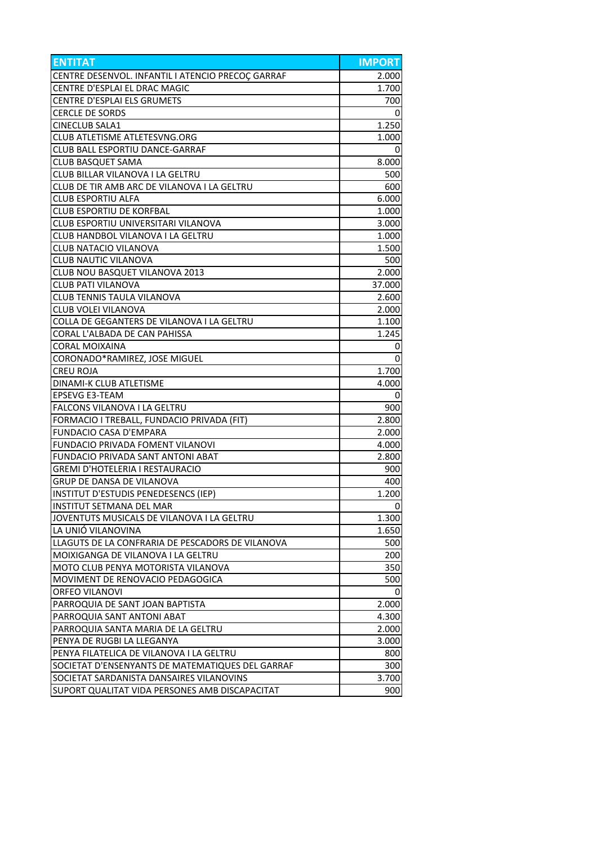| <b>ENTITAT</b>                                    | <b>IMPORT</b> |
|---------------------------------------------------|---------------|
| CENTRE DESENVOL. INFANTIL I ATENCIO PRECOÇ GARRAF | 2.000         |
| CENTRE D'ESPLAI EL DRAC MAGIC                     | 1.700         |
| CENTRE D'ESPLAI ELS GRUMETS                       | 700           |
| <b>CERCLE DE SORDS</b>                            | 0             |
| <b>CINECLUB SALA1</b>                             | 1.250         |
| <b>CLUB ATLETISME ATLETESVNG.ORG</b>              | 1.000         |
| <b>CLUB BALL ESPORTIU DANCE-GARRAF</b>            | 0             |
| <b>CLUB BASQUET SAMA</b>                          | 8.000         |
| CLUB BILLAR VILANOVA I LA GELTRU                  | 500           |
| CLUB DE TIR AMB ARC DE VILANOVA I LA GELTRU       | 600           |
| <b>CLUB ESPORTIU ALFA</b>                         | 6.000         |
| <b>CLUB ESPORTIU DE KORFBAL</b>                   | 1.000         |
| CLUB ESPORTIU UNIVERSITARI VILANOVA               | 3.000         |
| CLUB HANDBOL VILANOVA I LA GELTRU                 | 1.000         |
| <b>CLUB NATACIO VILANOVA</b>                      | 1.500         |
| <b>CLUB NAUTIC VILANOVA</b>                       | 500           |
| CLUB NOU BASQUET VILANOVA 2013                    | 2.000         |
| <b>CLUB PATI VILANOVA</b>                         | 37.000        |
| CLUB TENNIS TAULA VILANOVA                        | 2.600         |
| <b>CLUB VOLEI VILANOVA</b>                        | 2.000         |
| COLLA DE GEGANTERS DE VILANOVA I LA GELTRU        |               |
|                                                   | 1.100         |
| CORAL L'ALBADA DE CAN PAHISSA                     | 1.245         |
| <b>CORAL MOIXAINA</b>                             | 0             |
| CORONADO*RAMIREZ, JOSE MIGUEL                     | 0             |
| <b>CREU ROJA</b>                                  | 1.700         |
| DINAMI-K CLUB ATLETISME                           | 4.000         |
| <b>EPSEVG E3-TEAM</b>                             | 0             |
| FALCONS VILANOVA I LA GELTRU                      | 900           |
| FORMACIO I TREBALL, FUNDACIO PRIVADA (FIT)        | 2.800         |
| <b>FUNDACIO CASA D'EMPARA</b>                     | 2.000         |
| FUNDACIO PRIVADA FOMENT VILANOVI                  | 4.000         |
| FUNDACIO PRIVADA SANT ANTONI ABAT                 | 2.800         |
| <b>GREMI D'HOTELERIA I RESTAURACIO</b>            | 900           |
| GRUP DE DANSA DE VILANOVA                         | 400           |
| INSTITUT D'ESTUDIS PENEDESENCS (IEP)              | 1.200         |
| INSTITUT SETMANA DEL MAR                          | 0             |
| JOVENTUTS MUSICALS DE VILANOVA I LA GELTRU        | 1.300         |
| LA UNIÓ VILANOVINA                                | 1.650         |
| LLAGUTS DE LA CONFRARIA DE PESCADORS DE VILANOVA  | 500           |
| MOIXIGANGA DE VILANOVA I LA GELTRU                | 200           |
| MOTO CLUB PENYA MOTORISTA VILANOVA                | 350           |
| MOVIMENT DE RENOVACIO PEDAGOGICA                  | 500           |
| <b>ORFEO VILANOVI</b>                             | 0             |
| PARROQUIA DE SANT JOAN BAPTISTA                   | 2.000         |
| PARROQUIA SANT ANTONI ABAT                        | 4.300         |
| PARROQUIA SANTA MARIA DE LA GELTRU                | 2.000         |
| PENYA DE RUGBI LA LLEGANYA                        | 3.000         |
| PENYA FILATELICA DE VILANOVA I LA GELTRU          | 800           |
| SOCIETAT D'ENSENYANTS DE MATEMATIQUES DEL GARRAF  | 300           |
| SOCIETAT SARDANISTA DANSAIRES VILANOVINS          | 3.700         |
| SUPORT QUALITAT VIDA PERSONES AMB DISCAPACITAT    | 900           |